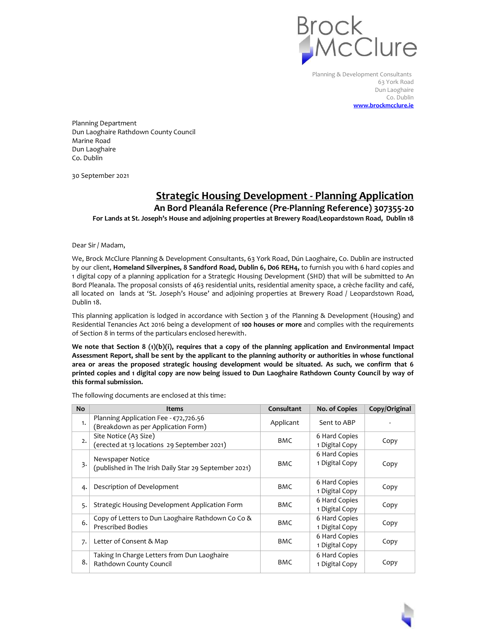

Planning & Development Consultants 63 York Road Dun Laoghaire Co. Dublin **[www.brockmcclure.ie](http://www.brockmcclure.ie/)**

Planning Department Dun Laoghaire Rathdown County Council Marine Road Dun Laoghaire Co. Dublin

30 September 2021

## **Strategic Housing Development - Planning Application**

**An Bord Pleanála Reference (Pre-Planning Reference) 307355-20 For Lands at St. Joseph's House and adjoining properties at Brewery Road/Leopardstown Road, Dublin 18**

Dear Sir / Madam,

We, Brock McClure Planning & Development Consultants, 63 York Road, Dún Laoghaire, Co. Dublin are instructed by our client, **Homeland Silverpines, 8 Sandford Road, Dublin 6, D06 REH4,** to furnish you with 6 hard copies and 1 digital copy of a planning application for a Strategic Housing Development (SHD) that will be submitted to An Bord Pleanala. The proposal consists of 463 residential units, residential amenity space, a crèche facility and café, all located on lands at 'St. Joseph's House' and adjoining properties at Brewery Road / Leopardstown Road, Dublin 18.

This planning application is lodged in accordance with Section 3 of the Planning & Development (Housing) and Residential Tenancies Act 2016 being a development of **100 houses or more** and complies with the requirements of Section 8 in terms of the particulars enclosed herewith.

**We note that Section 8 (1)(b)(i), requires that a copy of the planning application and Environmental Impact Assessment Report, shall be sent by the applicant to the planning authority or authorities in whose functional area or areas the proposed strategic housing development would be situated. As such, we confirm that 6 printed copies and 1 digital copy are now being issued to Dun Laoghaire Rathdown County Council by way of this formal submission.**

The following documents are enclosed at this time:

| <b>No</b> | <b>Items</b>                                                                  | Consultant | No. of Copies                   | Copy/Original |
|-----------|-------------------------------------------------------------------------------|------------|---------------------------------|---------------|
| 1.        | Planning Application Fee - €72,726.56<br>(Breakdown as per Application Form)  | Applicant  | Sent to ABP                     |               |
| 2.        | Site Notice (A3 Size)<br>(erected at 13 locations 29 September 2021)          | <b>BMC</b> | 6 Hard Copies<br>1 Digital Copy | Copy          |
| 3.        | Newspaper Notice<br>(published in The Irish Daily Star 29 September 2021)     | <b>BMC</b> | 6 Hard Copies<br>1 Digital Copy | Copy          |
| 4.        | Description of Development                                                    | <b>BMC</b> | 6 Hard Copies<br>1 Digital Copy | Copy          |
| 5.        | Strategic Housing Development Application Form                                | <b>BMC</b> | 6 Hard Copies<br>1 Digital Copy | Copy          |
| 6.        | Copy of Letters to Dun Laoghaire Rathdown Co Co &<br><b>Prescribed Bodies</b> | <b>BMC</b> | 6 Hard Copies<br>1 Digital Copy | Copy          |
| 7.        | Letter of Consent & Map                                                       | <b>BMC</b> | 6 Hard Copies<br>1 Digital Copy | Copy          |
| 8.        | Taking In Charge Letters from Dun Laoghaire<br>Rathdown County Council        | <b>BMC</b> | 6 Hard Copies<br>1 Digital Copy | Copy          |

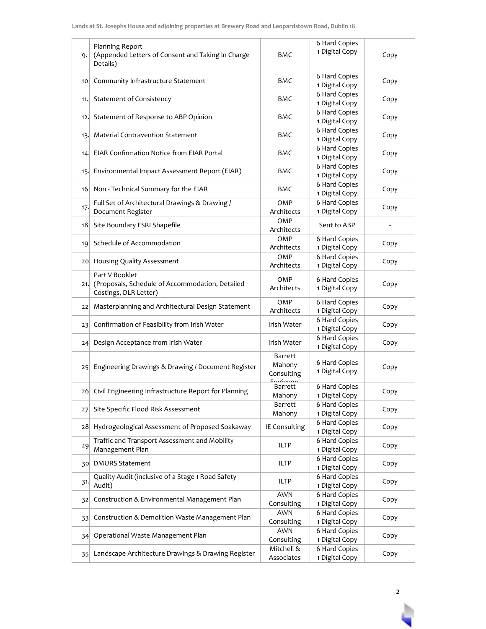| 9.              | Planning Report<br>(Appended Letters of Consent and Taking In Charge<br>Details)           | BMC                             | 6 Hard Copies<br>1 Digital Copy | Copy |
|-----------------|--------------------------------------------------------------------------------------------|---------------------------------|---------------------------------|------|
| 10.             | Community Infrastructure Statement                                                         | BMC                             | 6 Hard Copies<br>1 Digital Copy | Copy |
| 11.             | <b>Statement of Consistency</b>                                                            | BMC                             | 6 Hard Copies<br>1 Digital Copy | Copy |
| 12.             | Statement of Response to ABP Opinion                                                       | BMC                             | 6 Hard Copies<br>1 Digital Copy | Copy |
| 13.             | <b>Material Contravention Statement</b>                                                    | <b>BMC</b>                      | 6 Hard Copies<br>1 Digital Copy | Copy |
| 14.             | <b>EIAR Confirmation Notice from EIAR Portal</b>                                           | BMC                             | 6 Hard Copies<br>1 Digital Copy | Copy |
| 15.             | Environmental Impact Assessment Report (EIAR)                                              | BMC                             | 6 Hard Copies<br>1 Digital Copy | Copy |
| 16.             | Non - Technical Summary for the EIAR                                                       | BMC                             | 6 Hard Copies<br>1 Digital Copy | Copy |
| 17.             | Full Set of Architectural Drawings & Drawing /<br>Document Register                        | OMP<br>Architects               | 6 Hard Copies<br>1 Digital Copy | Copy |
| 18.             | Site Boundary ESRI Shapefile                                                               | OMP<br>Architects               | Sent to ABP                     |      |
| 19.             | Schedule of Accommodation                                                                  | OMP<br>Architects               | 6 Hard Copies<br>1 Digital Copy | Copy |
| 20              | Housing Quality Assessment                                                                 | OMP<br>Architects               | 6 Hard Copies<br>1 Digital Copy | Copy |
| 21.             | Part V Booklet<br>(Proposals, Schedule of Accommodation, Detailed<br>Costings, DLR Letter) | OMP<br>Architects               | 6 Hard Copies<br>1 Digital Copy | Copy |
| 22,             | Masterplanning and Architectural Design Statement                                          | OMP<br>Architects               | 6 Hard Copies<br>1 Digital Copy | Copy |
| 23.             | Confirmation of Feasibility from Irish Water                                               | Irish Water                     | 6 Hard Copies<br>1 Digital Copy | Copy |
| 24 <sub>2</sub> | Design Acceptance from Irish Water                                                         | Irish Water                     | 6 Hard Copies<br>1 Digital Copy | Copy |
| 25 <sub>1</sub> | Engineering Drawings & Drawing / Document Register                                         | Barrett<br>Mahony<br>Consulting | 6 Hard Copies<br>1 Digital Copy | Copy |
|                 | 26 Civil Engineering Infrastructure Report for Planning                                    | Barrett<br>Mahony               | 6 Hard Copies<br>1 Digital Copy | Copy |
| 27.             | Site Specific Flood Risk Assessment                                                        | Barrett<br>Mahony               | 6 Hard Copies<br>1 Digital Copy | Copy |
| 28              | Hydrogeological Assessment of Proposed Soakaway                                            | IE Consulting                   | 6 Hard Copies<br>1 Digital Copy | Copy |
| 29              | Traffic and Transport Assessment and Mobility<br>Management Plan                           | ILTP                            | 6 Hard Copies<br>1 Digital Copy | Copy |
| 30              | <b>DMURS Statement</b>                                                                     | ILTP                            | 6 Hard Copies<br>1 Digital Copy | Copy |
| 31.             | Quality Audit (inclusive of a Stage 1 Road Safety<br>Audit)                                | <b>ILTP</b>                     | 6 Hard Copies<br>1 Digital Copy | Copy |
| 32              | Construction & Environmental Management Plan                                               | <b>AWN</b><br>Consulting        | 6 Hard Copies<br>1 Digital Copy | Copy |
| 33.             | Construction & Demolition Waste Management Plan                                            | <b>AWN</b><br>Consulting        | 6 Hard Copies<br>1 Digital Copy | Copy |
| 34              | Operational Waste Management Plan                                                          | <b>AWN</b><br>Consulting        | 6 Hard Copies<br>1 Digital Copy | Copy |
| 35              | Landscape Architecture Drawings & Drawing Register                                         | Mitchell &<br>Associates        | 6 Hard Copies<br>1 Digital Copy | Copy |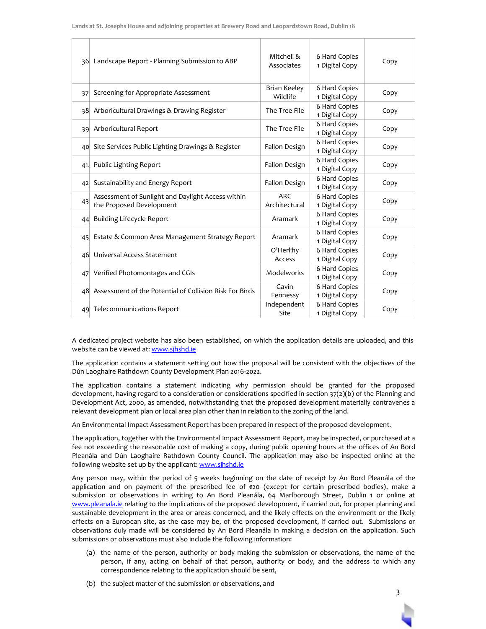|     | 36 Landscape Report - Planning Submission to ABP                              | Mitchell &<br>Associates    | 6 Hard Copies<br>1 Digital Copy | Copy |
|-----|-------------------------------------------------------------------------------|-----------------------------|---------------------------------|------|
| 37  | Screening for Appropriate Assessment                                          | Brian Keeley<br>Wildlife    | 6 Hard Copies<br>1 Digital Copy | Copy |
|     | 38 Arboricultural Drawings & Drawing Register                                 | The Tree File               | 6 Hard Copies<br>1 Digital Copy | Copy |
| 39  | Arboricultural Report                                                         | The Tree File               | 6 Hard Copies<br>1 Digital Copy | Copy |
|     | 40 Site Services Public Lighting Drawings & Register                          | Fallon Design               | 6 Hard Copies<br>1 Digital Copy | Copy |
| 41. | Public Lighting Report                                                        | Fallon Design               | 6 Hard Copies<br>1 Digital Copy | Copy |
|     | 42 Sustainability and Energy Report                                           | Fallon Design               | 6 Hard Copies<br>1 Digital Copy | Copy |
| 43  | Assessment of Sunlight and Daylight Access within<br>the Proposed Development | <b>ARC</b><br>Architectural | 6 Hard Copies<br>1 Digital Copy | Copy |
| 44  | <b>Building Lifecycle Report</b>                                              | Aramark                     | 6 Hard Copies<br>1 Digital Copy | Copy |
| 45  | Estate & Common Area Management Strategy Report                               | Aramark                     | 6 Hard Copies<br>1 Digital Copy | Copy |
|     | 46 Universal Access Statement                                                 | O'Herlihy<br>Access         | 6 Hard Copies<br>1 Digital Copy | Copy |
|     | 47 Verified Photomontages and CGIs                                            | Modelworks                  | 6 Hard Copies<br>1 Digital Copy | Copy |
|     | 48 Assessment of the Potential of Collision Risk For Birds                    | Gavin<br>Fennessy           | 6 Hard Copies<br>1 Digital Copy | Copy |
|     | 49 Telecommunications Report                                                  | Independent<br>Site         | 6 Hard Copies<br>1 Digital Copy | Copy |

A dedicated project website has also been established, on which the application details are uploaded, and this website can be viewed at: [www.sjhshd.ie](http://www.sjhshd.ie/)

The application contains a statement setting out how the proposal will be consistent with the objectives of the Dún Laoghaire Rathdown County Development Plan 2016-2022.

The application contains a statement indicating why permission should be granted for the proposed development, having regard to a consideration or considerations specified in section 37(2)(b) of the Planning and Development Act, 2000, as amended, notwithstanding that the proposed development materially contravenes a relevant development plan or local area plan other than in relation to the zoning of the land.

An Environmental Impact Assessment Report has been prepared in respect of the proposed development.

The application, together with the Environmental Impact Assessment Report, may be inspected, or purchased at a fee not exceeding the reasonable cost of making a copy, during public opening hours at the offices of An Bord Pleanála and Dún Laoghaire Rathdown County Council. The application may also be inspected online at the following website set up by the applicant[: www.sjhshd.ie](http://www.sjhshd.ie/)

Any person may, within the period of 5 weeks beginning on the date of receipt by An Bord Pleanála of the application and on payment of the prescribed fee of  $\epsilon$ 20 (except for certain prescribed bodies), make a submission or observations in writing to An Bord Pleanála, 64 Marlborough Street, Dublin 1 or online at [www.pleanala.ie](http://www.pleanala.ie/) relating to the implications of the proposed development, if carried out, for proper planning and sustainable development in the area or areas concerned, and the likely effects on the environment or the likely effects on a European site, as the case may be, of the proposed development, if carried out. Submissions or observations duly made will be considered by An Bord Pleanála in making a decision on the application. Such submissions or observations must also include the following information:

- (a) the name of the person, authority or body making the submission or observations, the name of the person, if any, acting on behalf of that person, authority or body, and the address to which any correspondence relating to the application should be sent,
- (b) the subject matter of the submission or observations, and